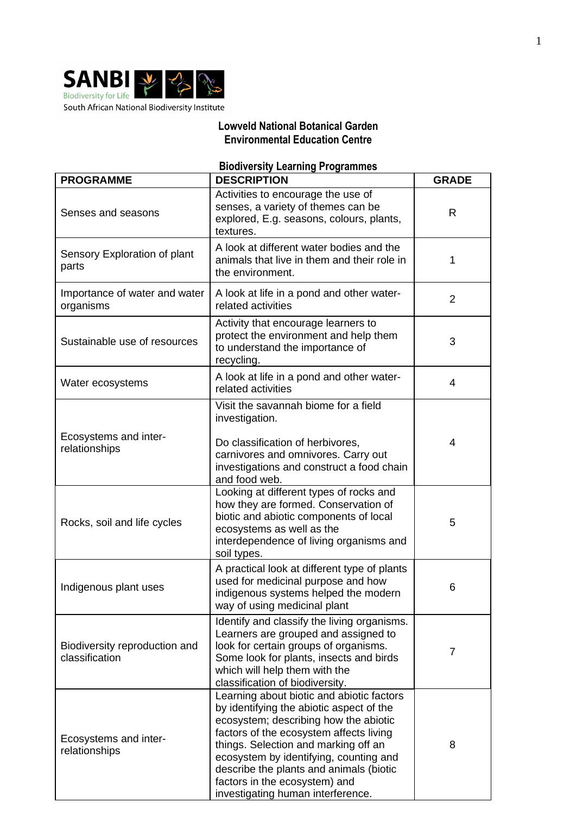

## **Lowveld National Botanical Garden Environmental Education Centre**

## **Biodiversity Learning Programmes**

| <b>PROGRAMME</b>                                | <b>DESCRIPTION</b>                                                                                                                                                                                                                                                                                                                                                           | <b>GRADE</b>   |
|-------------------------------------------------|------------------------------------------------------------------------------------------------------------------------------------------------------------------------------------------------------------------------------------------------------------------------------------------------------------------------------------------------------------------------------|----------------|
| Senses and seasons                              | Activities to encourage the use of<br>senses, a variety of themes can be<br>explored, E.g. seasons, colours, plants,<br>textures.                                                                                                                                                                                                                                            | $\mathsf{R}$   |
| Sensory Exploration of plant<br>parts           | A look at different water bodies and the<br>animals that live in them and their role in<br>the environment.                                                                                                                                                                                                                                                                  | 1              |
| Importance of water and water<br>organisms      | A look at life in a pond and other water-<br>related activities                                                                                                                                                                                                                                                                                                              | $\overline{2}$ |
| Sustainable use of resources                    | Activity that encourage learners to<br>protect the environment and help them<br>to understand the importance of<br>recycling.                                                                                                                                                                                                                                                | 3              |
| Water ecosystems                                | A look at life in a pond and other water-<br>related activities                                                                                                                                                                                                                                                                                                              | 4              |
| Ecosystems and inter-<br>relationships          | Visit the savannah biome for a field<br>investigation.<br>Do classification of herbivores,<br>carnivores and omnivores. Carry out<br>investigations and construct a food chain<br>and food web.                                                                                                                                                                              | $\overline{4}$ |
| Rocks, soil and life cycles                     | Looking at different types of rocks and<br>how they are formed. Conservation of<br>biotic and abiotic components of local<br>ecosystems as well as the<br>interdependence of living organisms and<br>soil types.                                                                                                                                                             | 5              |
| Indigenous plant uses                           | A practical look at different type of plants<br>used for medicinal purpose and how<br>indigenous systems helped the modern<br>way of using medicinal plant                                                                                                                                                                                                                   | 6              |
| Biodiversity reproduction and<br>classification | Identify and classify the living organisms.<br>Learners are grouped and assigned to<br>look for certain groups of organisms.<br>Some look for plants, insects and birds<br>which will help them with the<br>classification of biodiversity.                                                                                                                                  | $\overline{7}$ |
| Ecosystems and inter-<br>relationships          | Learning about biotic and abiotic factors<br>by identifying the abiotic aspect of the<br>ecosystem; describing how the abiotic<br>factors of the ecosystem affects living<br>things. Selection and marking off an<br>ecosystem by identifying, counting and<br>describe the plants and animals (biotic<br>factors in the ecosystem) and<br>investigating human interference. | 8              |